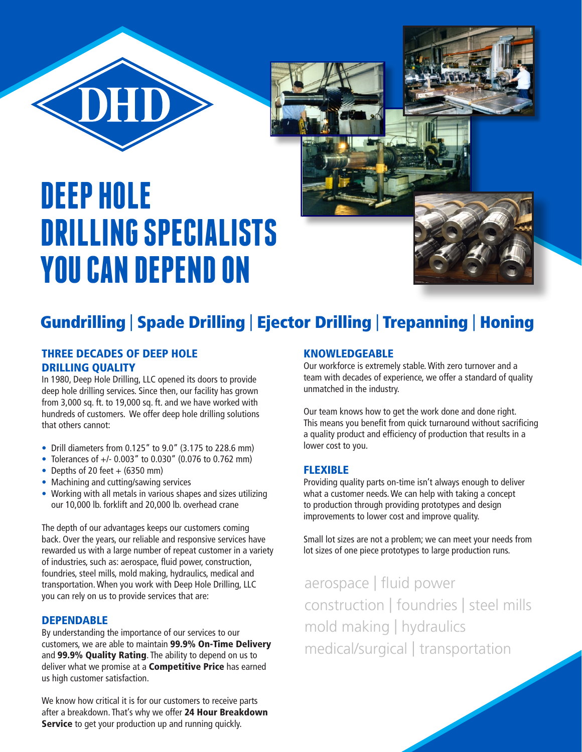

# **DEEP HOLE DRILLING SPECIALISTS YOU CAN DEPEND ON**



### Gundrilling | Spade Drilling | Ejector Drilling | Trepanning | Honing

#### **THREE DECADES OF DEEP HOLE** DRILLING OUALITY

In 1980, Deep Hole Drilling, LLC opened its doors to provide deep hole drilling services. Since then, our facility has grown from 3,000 sq. ft. to 19,000 sq. ft. and we have worked with hundreds of customers. We offer deep hole drilling solutions that others cannot:

- Drill diameters from 0.125" to 9.0" (3.175 to 228.6 mm)
- Tolerances of  $+/- 0.003''$  to 0.030" (0.076 to 0.762 mm)
- Depths of 20 feet  $+$  (6350 mm)
- Machining and cutting/sawing services
- Working with all metals in various shapes and sizes utilizing our 10,000 lb. forklift and 20,000 lb. overhead crane

The depth of our advantages keeps our customers coming back. Over the years, our reliable and responsive services have rewarded us with a large number of repeat customer in a variety of industries, such as: aerospace, fluid power, construction, foundries, steel mills, mold making, hydraulics, medical and transportation. When you work with Deep Hole Drilling, LLC you can rely on us to provide services that are:

#### DEPENDABLE

By understanding the importance of our services to our customers, we are able to maintain 99.9% On-Time Deliverv and 99.9% Quality Rating. The ability to depend on us to deliver what we promise at a **Competitive Price** has earned us high customer satisfaction.

We know how critical it is for our customers to receive parts after a breakdown. That's why we offer 24 Hour Breakdown Service to get your production up and running quickly.

#### KNOWLEDGEABLE

Our workforce is extremely stable. With zero turnover and a team with decades of experience, we offer a standard of quality unmatched in the industry.

Our team knows how to get the work done and done right. This means you benefit from quick turnaround without sacrificing a quality product and efficiency of production that results in a lower cost to you.

#### FLEXIBLE

Providing quality parts on-time isn't always enough to deliver what a customer needs. We can help with taking a concept to production through providing prototypes and design improvements to lower cost and improve quality.

Small lot sizes are not a problem; we can meet your needs from lot sizes of one piece prototypes to large production runs.

aerospace | fluid power construction | foundries | steel mills mold making | hydraulics medical/surgical | transportation